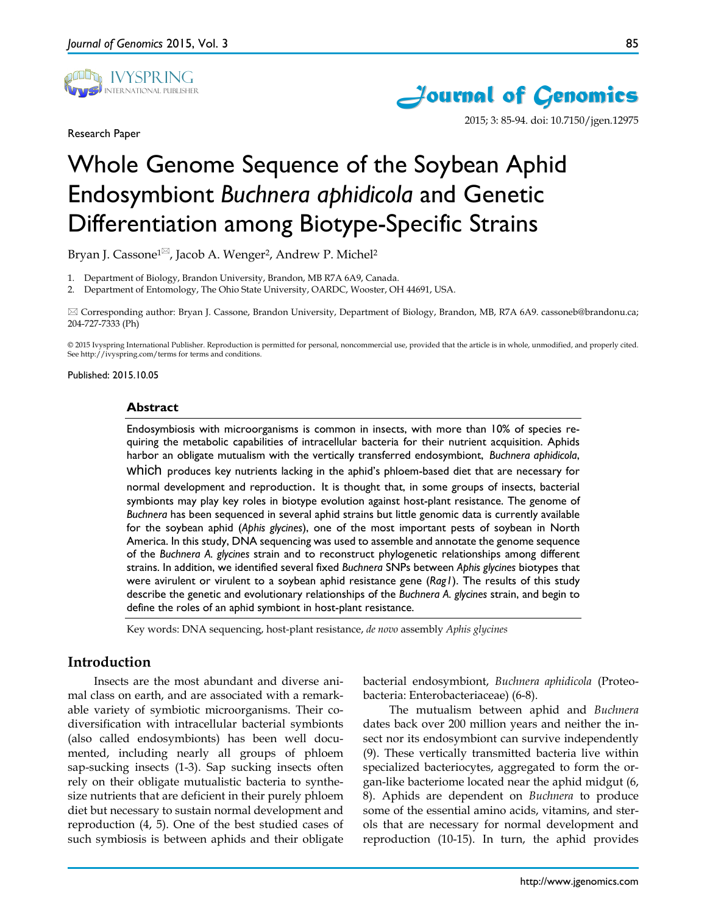

Research Paper



2015; 3: 85-94. doi: 10.7150/jgen.12975

# Whole Genome Sequence of the Soybean Aphid Endosymbiont *Buchnera aphidicola* and Genetic Differentiation among Biotype-Specific Strains

Bryan J. Cassone<sup>1⊠</sup>, Jacob A. Wenger<sup>2</sup>, Andrew P. Michel<sup>2</sup>

1. Department of Biology, Brandon University, Brandon, MB R7A 6A9, Canada.

2. Department of Entomology, The Ohio State University, OARDC, Wooster, OH 44691, USA.

 Corresponding author: Bryan J. Cassone, Brandon University, Department of Biology, Brandon, MB, R7A 6A9. cassoneb@brandonu.ca; 204-727-7333 (Ph)

© 2015 Ivyspring International Publisher. Reproduction is permitted for personal, noncommercial use, provided that the article is in whole, unmodified, and properly cited. See http://ivyspring.com/terms for terms and conditions.

Published: 2015.10.05

### **Abstract**

Endosymbiosis with microorganisms is common in insects, with more than 10% of species requiring the metabolic capabilities of intracellular bacteria for their nutrient acquisition. Aphids harbor an obligate mutualism with the vertically transferred endosymbiont, *Buchnera aphidicola*, which produces key nutrients lacking in the aphid's phloem-based diet that are necessary for normal development and reproduction. It is thought that, in some groups of insects, bacterial symbionts may play key roles in biotype evolution against host-plant resistance. The genome of *Buchnera* has been sequenced in several aphid strains but little genomic data is currently available for the soybean aphid (*Aphis glycines*), one of the most important pests of soybean in North America. In this study, DNA sequencing was used to assemble and annotate the genome sequence of the *Buchnera A. glycines* strain and to reconstruct phylogenetic relationships among different strains. In addition, we identified several fixed *Buchnera* SNPs between *Aphis glycines* biotypes that were avirulent or virulent to a soybean aphid resistance gene (*Rag1*). The results of this study describe the genetic and evolutionary relationships of the *Buchnera A. glycines* strain, and begin to define the roles of an aphid symbiont in host-plant resistance.

Key words: DNA sequencing, host-plant resistance, *de novo* assembly *Aphis glycines*

# **Introduction**

Insects are the most abundant and diverse animal class on earth, and are associated with a remarkable variety of symbiotic microorganisms. Their codiversification with intracellular bacterial symbionts (also called endosymbionts) has been well documented, including nearly all groups of phloem sap-sucking insects (1-3). Sap sucking insects often rely on their obligate mutualistic bacteria to synthesize nutrients that are deficient in their purely phloem diet but necessary to sustain normal development and reproduction (4, 5). One of the best studied cases of such symbiosis is between aphids and their obligate

bacterial endosymbiont, *Buchnera aphidicola* (Proteobacteria: Enterobacteriaceae) (6-8).

The mutualism between aphid and *Buchnera* dates back over 200 million years and neither the insect nor its endosymbiont can survive independently (9). These vertically transmitted bacteria live within specialized bacteriocytes, aggregated to form the organ-like bacteriome located near the aphid midgut (6, 8). Aphids are dependent on *Buchnera* to produce some of the essential amino acids, vitamins, and sterols that are necessary for normal development and reproduction (10-15). In turn, the aphid provides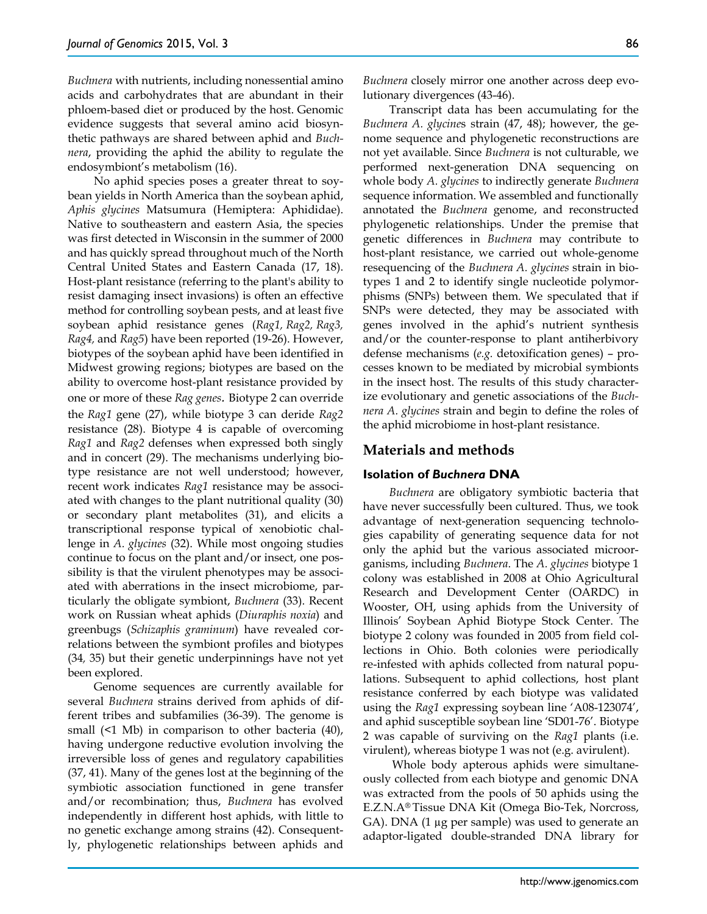*Buchnera* with nutrients, including nonessential amino acids and carbohydrates that are abundant in their phloem-based diet or produced by the host. Genomic evidence suggests that several amino acid biosynthetic pathways are shared between aphid and *Buchnera*, providing the aphid the ability to regulate the endosymbiont's metabolism (16).

No aphid species poses a greater threat to soybean yields in North America than the soybean aphid, *Aphis glycines* Matsumura (Hemiptera: Aphididae). Native to southeastern and eastern Asia, the species was first detected in Wisconsin in the summer of 2000 and has quickly spread throughout much of the North Central United States and Eastern Canada (17, 18). Host-plant resistance (referring to the plant's ability to resist damaging insect invasions) is often an effective method for controlling soybean pests, and at least five soybean aphid resistance genes (*Rag1, Rag2, Rag3, Rag4,* and *Rag5*) have been reported (19-26). However, biotypes of the soybean aphid have been identified in Midwest growing regions; biotypes are based on the ability to overcome host-plant resistance provided by one or more of these *Rag genes.* Biotype 2 can override the *Rag1* gene (27), while biotype 3 can deride *Rag2*  resistance (28). Biotype 4 is capable of overcoming *Rag1* and *Rag2* defenses when expressed both singly and in concert (29). The mechanisms underlying biotype resistance are not well understood; however, recent work indicates *Rag1* resistance may be associated with changes to the plant nutritional quality (30) or secondary plant metabolites (31), and elicits a transcriptional response typical of xenobiotic challenge in *A. glycines* (32). While most ongoing studies continue to focus on the plant and/or insect, one possibility is that the virulent phenotypes may be associated with aberrations in the insect microbiome, particularly the obligate symbiont, *Buchnera* (33). Recent work on Russian wheat aphids (*Diuraphis noxia*) and greenbugs (*Schizaphis graminum*) have revealed correlations between the symbiont profiles and biotypes (34*,* 35) but their genetic underpinnings have not yet been explored.

Genome sequences are currently available for several *Buchnera* strains derived from aphids of different tribes and subfamilies (36-39). The genome is small (<1 Mb) in comparison to other bacteria (40), having undergone reductive evolution involving the irreversible loss of genes and regulatory capabilities (37, 41). Many of the genes lost at the beginning of the symbiotic association functioned in gene transfer and/or recombination; thus, *Buchnera* has evolved independently in different host aphids, with little to no genetic exchange among strains (42). Consequently, phylogenetic relationships between aphids and

*Buchnera* closely mirror one another across deep evolutionary divergences (43-46).

Transcript data has been accumulating for the *Buchnera A. glycine*s strain (47, 48); however, the genome sequence and phylogenetic reconstructions are not yet available. Since *Buchnera* is not culturable, we performed next-generation DNA sequencing on whole body *A. glycines* to indirectly generate *Buchnera* sequence information. We assembled and functionally annotated the *Buchnera* genome, and reconstructed phylogenetic relationships. Under the premise that genetic differences in *Buchnera* may contribute to host-plant resistance, we carried out whole-genome resequencing of the *Buchnera A. glycines* strain in biotypes 1 and 2 to identify single nucleotide polymorphisms (SNPs) between them. We speculated that if SNPs were detected, they may be associated with genes involved in the aphid's nutrient synthesis and/or the counter-response to plant antiherbivory defense mechanisms (*e.g.* detoxification genes) – processes known to be mediated by microbial symbionts in the insect host. The results of this study characterize evolutionary and genetic associations of the *Buchnera A. glycines* strain and begin to define the roles of the aphid microbiome in host-plant resistance.

## **Materials and methods**

#### **Isolation of** *Buchnera* **DNA**

*Buchnera* are obligatory symbiotic bacteria that have never successfully been cultured. Thus, we took advantage of next-generation sequencing technologies capability of generating sequence data for not only the aphid but the various associated microorganisms, including *Buchnera*. The *A. glycines* biotype 1 colony was established in 2008 at Ohio Agricultural Research and Development Center (OARDC) in Wooster, OH, using aphids from the University of Illinois' Soybean Aphid Biotype Stock Center. The biotype 2 colony was founded in 2005 from field collections in Ohio. Both colonies were periodically re-infested with aphids collected from natural populations. Subsequent to aphid collections, host plant resistance conferred by each biotype was validated using the *Rag1* expressing soybean line 'A08-123074', and aphid susceptible soybean line 'SD01-76'. Biotype 2 was capable of surviving on the *Rag1* plants (i.e. virulent), whereas biotype 1 was not (e.g. avirulent).

Whole body apterous aphids were simultaneously collected from each biotype and genomic DNA was extracted from the pools of 50 aphids using the E.Z.N.A® Tissue DNA Kit (Omega Bio-Tek, Norcross, GA). DNA (1 µg per sample) was used to generate an adaptor-ligated double-stranded DNA library for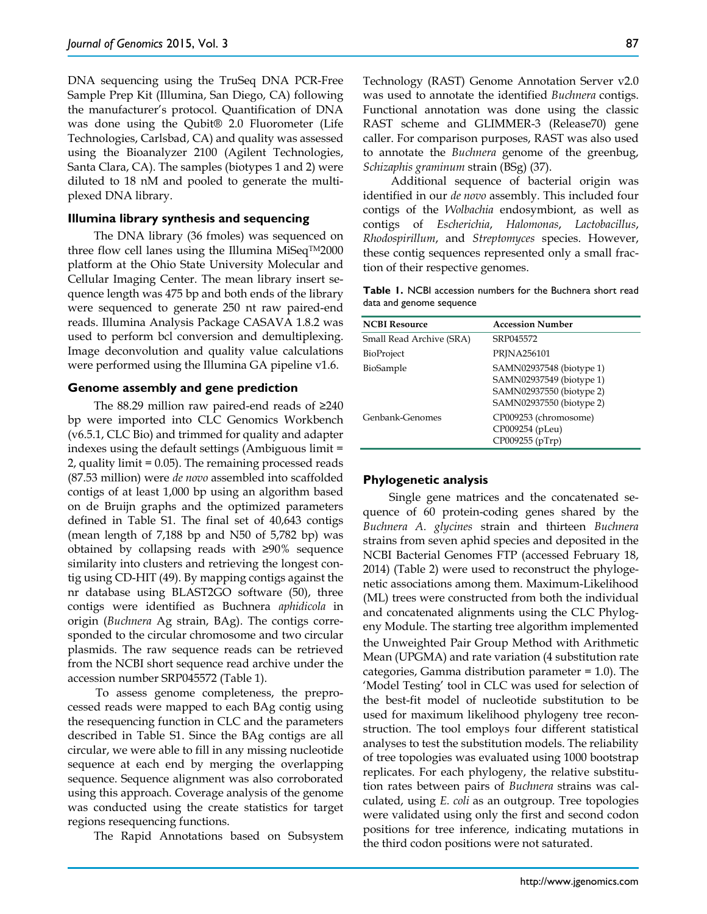DNA sequencing using the TruSeq DNA PCR-Free Sample Prep Kit (Illumina, San Diego, CA) following the manufacturer's protocol. Quantification of DNA was done using the Qubit® 2.0 Fluorometer (Life Technologies, Carlsbad, CA) and quality was assessed using the Bioanalyzer 2100 (Agilent Technologies, Santa Clara, CA). The samples (biotypes 1 and 2) were diluted to 18 nM and pooled to generate the multiplexed DNA library.

#### **Illumina library synthesis and sequencing**

The DNA library (36 fmoles) was sequenced on three flow cell lanes using the Illumina MiSeq $TM2000$ platform at the Ohio State University Molecular and Cellular Imaging Center. The mean library insert sequence length was 475 bp and both ends of the library were sequenced to generate 250 nt raw paired-end reads. Illumina Analysis Package CASAVA 1.8.2 was used to perform bcl conversion and demultiplexing. Image deconvolution and quality value calculations were performed using the Illumina GA pipeline v1.6.

#### **Genome assembly and gene prediction**

The 88.29 million raw paired-end reads of ≥240 bp were imported into CLC Genomics Workbench (v6.5.1, CLC Bio) and trimmed for quality and adapter indexes using the default settings (Ambiguous limit = 2, quality limit = 0.05). The remaining processed reads (87.53 million) were *de novo* assembled into scaffolded contigs of at least 1,000 bp using an algorithm based on de Bruijn graphs and the optimized parameters defined in Table S1. The final set of 40,643 contigs (mean length of 7,188 bp and N50 of 5,782 bp) was obtained by collapsing reads with ≥90% sequence similarity into clusters and retrieving the longest contig using CD-HIT (49). By mapping contigs against the nr database using BLAST2GO software (50), three contigs were identified as Buchnera *aphidicola* in origin (*Buchnera* Ag strain, BAg). The contigs corresponded to the circular chromosome and two circular plasmids. The raw sequence reads can be retrieved from the NCBI short sequence read archive under the accession number SRP045572 (Table 1).

To assess genome completeness, the preprocessed reads were mapped to each BAg contig using the resequencing function in CLC and the parameters described in Table S1. Since the BAg contigs are all circular, we were able to fill in any missing nucleotide sequence at each end by merging the overlapping sequence. Sequence alignment was also corroborated using this approach. Coverage analysis of the genome was conducted using the create statistics for target regions resequencing functions.

The Rapid Annotations based on Subsystem

Technology (RAST) Genome Annotation Server v2.0 was used to annotate the identified *Buchnera* contigs. Functional annotation was done using the classic RAST scheme and GLIMMER-3 (Release70) gene caller. For comparison purposes, RAST was also used to annotate the *Buchnera* genome of the greenbug, *Schizaphis graminum* strain (BSg) (37).

Additional sequence of bacterial origin was identified in our *de novo* assembly. This included four contigs of the *Wolbachia* endosymbiont, as well as contigs of *Escherichia*, *Halomonas*, *Lactobacillus*, *Rhodospirillum*, and *Streptomyces* species. However, these contig sequences represented only a small fraction of their respective genomes.

| <b>Table 1.</b> NCBI accession numbers for the Buchnera short read |  |  |  |
|--------------------------------------------------------------------|--|--|--|
| data and genome sequence                                           |  |  |  |

| <b>NCBI Resource</b>     | <b>Accession Number</b>                                                                                      |
|--------------------------|--------------------------------------------------------------------------------------------------------------|
| Small Read Archive (SRA) | SRP045572                                                                                                    |
| <b>BioProject</b>        | PRINA256101                                                                                                  |
| BioSample                | SAMN02937548 (biotype 1)<br>SAMN02937549 (biotype 1)<br>SAMN02937550 (biotype 2)<br>SAMN02937550 (biotype 2) |
| Genbank-Genomes          | CP009253 (chromosome)<br>CP009254 (pLeu)<br>CP009255 (pTrp)                                                  |

#### **Phylogenetic analysis**

Single gene matrices and the concatenated sequence of 60 protein-coding genes shared by the *Buchnera A. glycines* strain and thirteen *Buchnera* strains from seven aphid species and deposited in the NCBI Bacterial Genomes FTP (accessed February 18, 2014) (Table 2) were used to reconstruct the phylogenetic associations among them. Maximum-Likelihood (ML) trees were constructed from both the individual and concatenated alignments using the CLC Phylogeny Module. The starting tree algorithm implemented the Unweighted Pair Group Method with Arithmetic Mean (UPGMA) and rate variation (4 substitution rate categories, Gamma distribution parameter = 1.0). The 'Model Testing' tool in CLC was used for selection of the best-fit model of nucleotide substitution to be used for maximum likelihood phylogeny tree reconstruction. The tool employs four different statistical analyses to test the substitution models. The reliability of tree topologies was evaluated using 1000 bootstrap replicates. For each phylogeny, the relative substitution rates between pairs of *Buchnera* strains was calculated, using *E. coli* as an outgroup. Tree topologies were validated using only the first and second codon positions for tree inference, indicating mutations in the third codon positions were not saturated.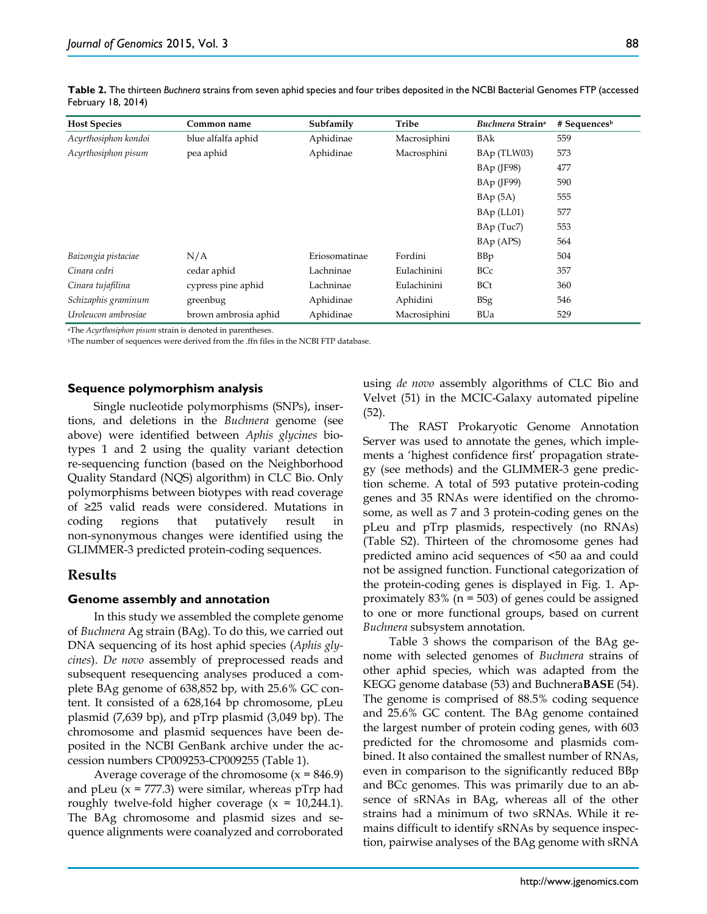| <b>Host Species</b>  | Common name          | Subfamily     | Tribe        | Buchnera Strain <sup>a</sup> | $#$ Sequences <sup>b</sup> |
|----------------------|----------------------|---------------|--------------|------------------------------|----------------------------|
| Acyrthosiphon kondoi | blue alfalfa aphid   | Aphidinae     | Macrosiphini | <b>BAk</b>                   | 559                        |
| Acyrthosiphon pisum  | pea aphid            | Aphidinae     | Macrosphini  | BAp (TLW03)                  | 573                        |
|                      |                      |               |              | $BAp$ (JF98)                 | 477                        |
|                      |                      |               |              | $BAp$ (JF99)                 | 590                        |
|                      |                      |               |              | BAp(5A)                      | 555                        |
|                      |                      |               |              | BAp (LL01)                   | 577                        |
|                      |                      |               |              | BAp (Tuc7)                   | 553                        |
|                      |                      |               |              | BAp (APS)                    | 564                        |
| Baizongia pistaciae  | N/A                  | Eriosomatinae | Fordini      | <b>BBp</b>                   | 504                        |
| Cinara cedri         | cedar aphid          | Lachninae     | Eulachinini  | <b>BCc</b>                   | 357                        |
| Cinara tujafilina    | cypress pine aphid   | Lachninae     | Eulachinini  | <b>BCt</b>                   | 360                        |
| Schizaphis graminum  | greenbug             | Aphidinae     | Aphidini     | <b>BSg</b>                   | 546                        |
| Uroleucon ambrosiae  | brown ambrosia aphid | Aphidinae     | Macrosiphini | <b>BUa</b>                   | 529                        |

**Table 2.** The thirteen *Buchnera* strains from seven aphid species and four tribes deposited in the NCBI Bacterial Genomes FTP (accessed February 18, 2014)

aThe *Acyrthosiphon pisum* strain is denoted in parentheses.

bThe number of sequences were derived from the .ffn files in the NCBI FTP database.

### **Sequence polymorphism analysis**

Single nucleotide polymorphisms (SNPs), insertions, and deletions in the *Buchnera* genome (see above) were identified between *Aphis glycines* biotypes 1 and 2 using the quality variant detection re-sequencing function (based on the Neighborhood Quality Standard (NQS) algorithm) in CLC Bio. Only polymorphisms between biotypes with read coverage of ≥25 valid reads were considered. Mutations in coding regions that putatively result in non-synonymous changes were identified using the GLIMMER-3 predicted protein-coding sequences.

## **Results**

## **Genome assembly and annotation**

In this study we assembled the complete genome of *Buchnera* Ag strain (BAg). To do this, we carried out DNA sequencing of its host aphid species (*Aphis glycines*). *De novo* assembly of preprocessed reads and subsequent resequencing analyses produced a complete BAg genome of 638,852 bp, with 25.6% GC content. It consisted of a 628,164 bp chromosome, pLeu plasmid (7,639 bp), and pTrp plasmid (3,049 bp). The chromosome and plasmid sequences have been deposited in the NCBI GenBank archive under the accession numbers CP009253-CP009255 (Table 1).

Average coverage of the chromosome  $(x = 846.9)$ and pLeu  $(x = 777.3)$  were similar, whereas pTrp had roughly twelve-fold higher coverage  $(x = 10,244.1)$ . The BAg chromosome and plasmid sizes and sequence alignments were coanalyzed and corroborated using *de novo* assembly algorithms of CLC Bio and Velvet (51) in the MCIC-Galaxy automated pipeline (52).

The RAST Prokaryotic Genome Annotation Server was used to annotate the genes, which implements a 'highest confidence first' propagation strategy (see methods) and the GLIMMER-3 gene prediction scheme. A total of 593 putative protein-coding genes and 35 RNAs were identified on the chromosome, as well as 7 and 3 protein-coding genes on the pLeu and pTrp plasmids, respectively (no RNAs) (Table S2). Thirteen of the chromosome genes had predicted amino acid sequences of <50 aa and could not be assigned function. Functional categorization of the protein-coding genes is displayed in Fig. 1. Approximately  $83\%$  (n = 503) of genes could be assigned to one or more functional groups, based on current *Buchnera* subsystem annotation.

Table 3 shows the comparison of the BAg genome with selected genomes of *Buchnera* strains of other aphid species, which was adapted from the KEGG genome database (53) and Buchnera**BASE** (54). The genome is comprised of 88.5% coding sequence and 25.6% GC content. The BAg genome contained the largest number of protein coding genes, with 603 predicted for the chromosome and plasmids combined. It also contained the smallest number of RNAs, even in comparison to the significantly reduced BBp and BCc genomes. This was primarily due to an absence of sRNAs in BAg, whereas all of the other strains had a minimum of two sRNAs. While it remains difficult to identify sRNAs by sequence inspection, pairwise analyses of the BAg genome with sRNA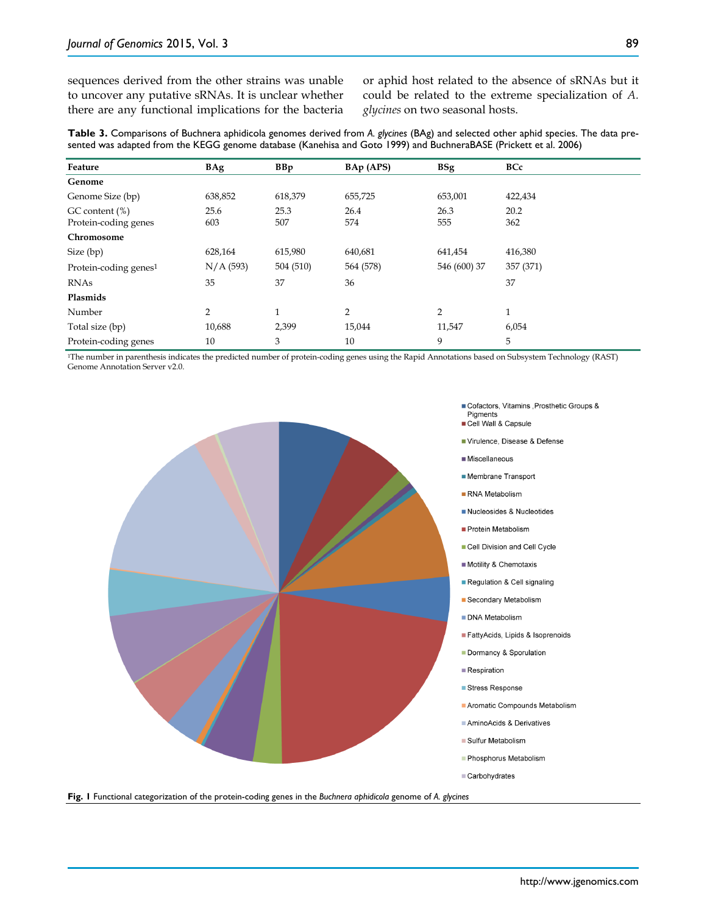sequences derived from the other strains was unable to uncover any putative sRNAs. It is unclear whether there are any functional implications for the bacteria or aphid host related to the absence of sRNAs but it could be related to the extreme specialization of *A. glycines* on two seasonal hosts.

**Table 3.** Comparisons of Buchnera aphidicola genomes derived from *A. glycines* (BAg) and selected other aphid species. The data presented was adapted from the KEGG genome database (Kanehisa and Goto 1999) and BuchneraBASE (Prickett et al. 2006)

| Feature                           | BAg       | <b>BBp</b>   | BAp (APS)      | <b>BSg</b>     | <b>BCc</b>   |
|-----------------------------------|-----------|--------------|----------------|----------------|--------------|
| Genome                            |           |              |                |                |              |
| Genome Size (bp)                  | 638,852   | 618,379      | 655,725        | 653,001        | 422,434      |
| GC content (%)                    | 25.6      | 25.3         | 26.4           | 26.3           | 20.2         |
| Protein-coding genes              | 603       | 507          | 574            | 555            | 362          |
| Chromosome                        |           |              |                |                |              |
| Size (bp)                         | 628,164   | 615,980      | 640,681        | 641,454        | 416,380      |
| Protein-coding genes <sup>1</sup> | N/A (593) | 504 (510)    | 564 (578)      | 546 (600) 37   | 357 (371)    |
| <b>RNAs</b>                       | 35        | 37           | 36             |                | 37           |
| Plasmids                          |           |              |                |                |              |
| Number                            | 2         | $\mathbf{1}$ | $\overline{2}$ | $\overline{2}$ | $\mathbf{1}$ |
| Total size (bp)                   | 10,688    | 2,399        | 15,044         | 11,547         | 6,054        |
| Protein-coding genes              | 10        | 3            | 10             | 9              | 5            |

1The number in parenthesis indicates the predicted number of protein-coding genes using the Rapid Annotations based on Subsystem Technology (RAST) Genome Annotation Server v2.0.



Virulence, Disease & Defense

- Membrane Transport
- Nucleosides & Nucleotides
- 
- Cell Division and Cell Cycle
- 
- Regulation & Cell signaling
- 
- FattyAcids, Lipids & Isoprenoids
- Dormancy & Sporulation
- Aromatic Compounds Metabolism
- AminoAcids & Derivatives
- Phosphorus Metabolism
- Carbohydrates

**Fig. 1** Functional categorization of the protein-coding genes in the *Buchnera aphidicola* genome of *A. glycines*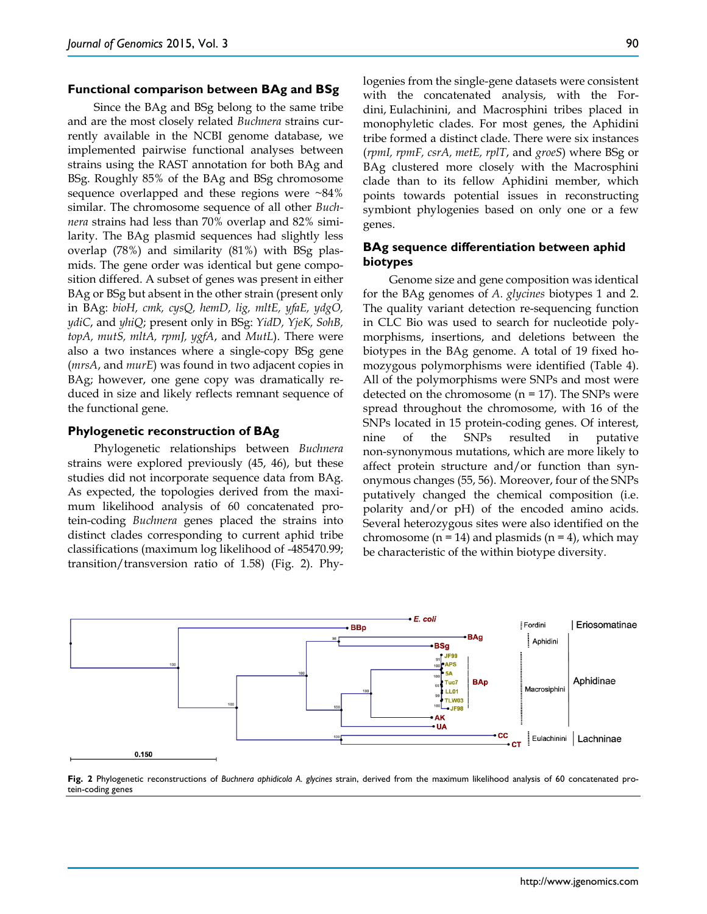#### **Functional comparison between BAg and BSg**

Since the BAg and BSg belong to the same tribe and are the most closely related *Buchnera* strains currently available in the NCBI genome database, we implemented pairwise functional analyses between strains using the RAST annotation for both BAg and BSg. Roughly 85% of the BAg and BSg chromosome sequence overlapped and these regions were  $~84\%$ similar. The chromosome sequence of all other *Buchnera* strains had less than 70% overlap and 82% similarity. The BAg plasmid sequences had slightly less overlap (78%) and similarity (81%) with BSg plasmids. The gene order was identical but gene composition differed. A subset of genes was present in either BAg or BSg but absent in the other strain (present only in BAg: *bioH, cmk, cysQ, hemD, lig, mltE, yfaE, ydgO, ydiC*, and *yhiQ*; present only in BSg: *YidD, YjeK, SohB, topA, mutS, mltA, rpmJ, ygfA*, and *MutL*). There were also a two instances where a single-copy BSg gene (*mrsA*, and *murE*) was found in two adjacent copies in BAg; however, one gene copy was dramatically reduced in size and likely reflects remnant sequence of the functional gene.

#### **Phylogenetic reconstruction of BAg**

Phylogenetic relationships between *Buchnera*  strains were explored previously (45, 46), but these studies did not incorporate sequence data from BAg. As expected, the topologies derived from the maximum likelihood analysis of 60 concatenated protein-coding *Buchnera* genes placed the strains into distinct clades corresponding to current aphid tribe classifications (maximum log likelihood of -485470.99; transition/transversion ratio of 1.58) (Fig. 2). Phylogenies from the single-gene datasets were consistent with the concatenated analysis, with the Fordini, Eulachinini, and Macrosphini tribes placed in monophyletic clades. For most genes, the Aphidini tribe formed a distinct clade. There were six instances (*rpmI, rpmF, csrA, metE, rplT*, and *groeS*) where BSg or BAg clustered more closely with the Macrosphini clade than to its fellow Aphidini member, which points towards potential issues in reconstructing symbiont phylogenies based on only one or a few genes.

### **BAg sequence differentiation between aphid biotypes**

Genome size and gene composition was identical for the BAg genomes of *A. glycines* biotypes 1 and 2. The quality variant detection re-sequencing function in CLC Bio was used to search for nucleotide polymorphisms, insertions, and deletions between the biotypes in the BAg genome. A total of 19 fixed homozygous polymorphisms were identified (Table 4). All of the polymorphisms were SNPs and most were detected on the chromosome  $(n = 17)$ . The SNPs were spread throughout the chromosome, with 16 of the SNPs located in 15 protein-coding genes. Of interest, nine of the SNPs resulted in putative non-synonymous mutations, which are more likely to affect protein structure and/or function than synonymous changes (55, 56). Moreover, four of the SNPs putatively changed the chemical composition (i.e. polarity and/or pH) of the encoded amino acids. Several heterozygous sites were also identified on the chromosome  $(n = 14)$  and plasmids  $(n = 4)$ , which may be characteristic of the within biotype diversity.



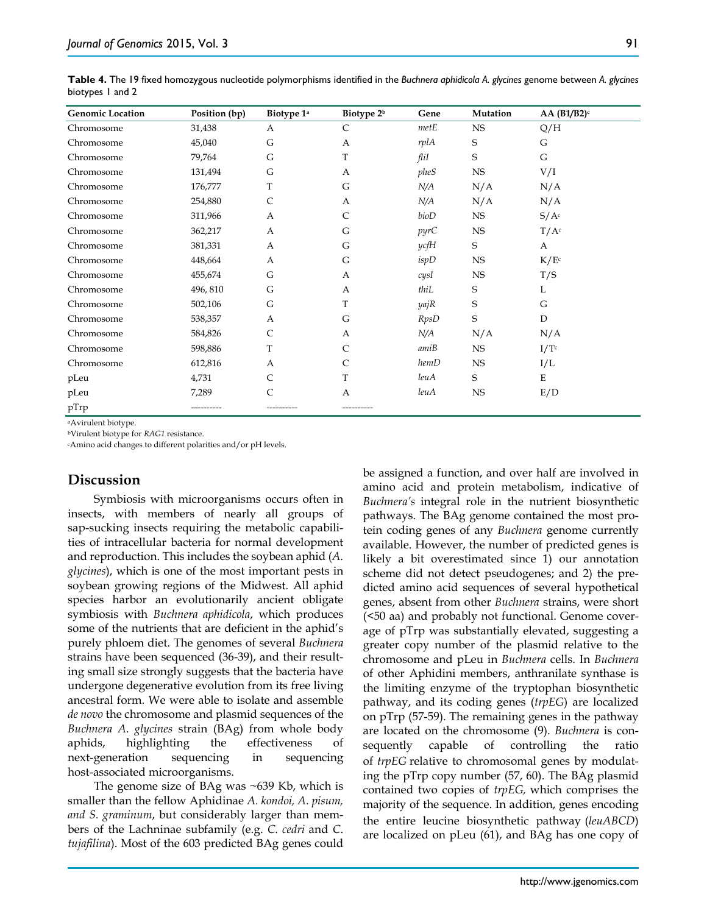**Table 4.** The 19 fixed homozygous nucleotide polymorphisms identified in the *Buchnera aphidicola A. glycines* genome between *A. glycines* biotypes 1 and 2

| <b>Genomic Location</b> | Position (bp) | Biotype 1 <sup>a</sup> | Biotype 2 <sup>b</sup> | Gene        | Mutation    | $AA(B1/B2)^c$    |
|-------------------------|---------------|------------------------|------------------------|-------------|-------------|------------------|
| Chromosome              | 31,438        | A                      | C                      | metE        | <b>NS</b>   | Q/H              |
| Chromosome              | 45,040        | G                      | A                      | rplA        | S           | G                |
| Chromosome              | 79,764        | G                      | T                      | fliI        | S           | G                |
| Chromosome              | 131,494       | G                      | A                      | pheS        | <b>NS</b>   | V/I              |
| Chromosome              | 176,777       | T                      | G                      | N/A         | N/A         | N/A              |
| Chromosome              | 254,880       | C                      | A                      | N/A         | N/A         | N/A              |
| Chromosome              | 311,966       | $\mathbf{A}$           | $\mathsf{C}$           | bioD        | NS          | S/A <sup>c</sup> |
| Chromosome              | 362,217       | A                      | G                      | pyrC        | <b>NS</b>   | $T/A^c$          |
| Chromosome              | 381,331       | A                      | G                      | ycfH        | S           | A                |
| Chromosome              | 448,664       | A                      | G                      | ispD        | <b>NS</b>   | K/E <sup>c</sup> |
| Chromosome              | 455,674       | G                      | A                      | cysl        | $_{\rm NS}$ | T/S              |
| Chromosome              | 496, 810      | G                      | $\mathbf{A}$           | thiL        | S           | L                |
| Chromosome              | 502,106       | G                      | T                      | yajR        | S           | G                |
| Chromosome              | 538,357       | A                      | G                      | <b>RpsD</b> | S           | $\mathbf D$      |
| Chromosome              | 584,826       | C                      | A                      | N/A         | N/A         | N/A              |
| Chromosome              | 598,886       | T                      | C                      | amiB        | <b>NS</b>   | I/Tc             |
| Chromosome              | 612,816       | $\mathbf{A}$           | $\mathsf{C}$           | hemD        | <b>NS</b>   | I/L              |
| pLeu                    | 4,731         | C                      | T                      | leuA        | S           | E                |
| pLeu                    | 7,289         | С                      | $\mathbf{A}$           | leuA        | <b>NS</b>   | E/D              |
| pTrp                    |               |                        |                        |             |             |                  |

aAvirulent biotype.

bVirulent biotype for *RAG1* resistance.

cAmino acid changes to different polarities and/or pH levels.

# **Discussion**

Symbiosis with microorganisms occurs often in insects, with members of nearly all groups of sap-sucking insects requiring the metabolic capabilities of intracellular bacteria for normal development and reproduction. This includes the soybean aphid (*A. glycines*), which is one of the most important pests in soybean growing regions of the Midwest. All aphid species harbor an evolutionarily ancient obligate symbiosis with *Buchnera aphidicola*, which produces some of the nutrients that are deficient in the aphid's purely phloem diet. The genomes of several *Buchnera* strains have been sequenced (36-39), and their resulting small size strongly suggests that the bacteria have undergone degenerative evolution from its free living ancestral form. We were able to isolate and assemble *de novo* the chromosome and plasmid sequences of the *Buchnera A. glycines* strain (BAg) from whole body aphids, highlighting the effectiveness of next-generation sequencing in sequencing host-associated microorganisms.

The genome size of BAg was ~639 Kb, which is smaller than the fellow Aphidinae *A. kondoi, A. pisum, and S. graminum*, but considerably larger than members of the Lachninae subfamily (e.g. *C. cedri* and *C*. *tujafilina*). Most of the 603 predicted BAg genes could be assigned a function, and over half are involved in amino acid and protein metabolism, indicative of *Buchnera's* integral role in the nutrient biosynthetic pathways. The BAg genome contained the most protein coding genes of any *Buchnera* genome currently available. However, the number of predicted genes is likely a bit overestimated since 1) our annotation scheme did not detect pseudogenes; and 2) the predicted amino acid sequences of several hypothetical genes, absent from other *Buchnera* strains, were short (<50 aa) and probably not functional. Genome coverage of pTrp was substantially elevated, suggesting a greater copy number of the plasmid relative to the chromosome and pLeu in *Buchnera* cells. In *Buchnera* of other Aphidini members, anthranilate synthase is the limiting enzyme of the tryptophan biosynthetic pathway, and its coding genes (*trpEG*) are localized on pTrp (57-59). The remaining genes in the pathway are located on the chromosome (9). *Buchnera* is consequently capable of controlling the ratio of *trpEG* relative to chromosomal genes by modulating the pTrp copy number (57, 60). The BAg plasmid contained two copies of *trpEG,* which comprises the majority of the sequence. In addition, genes encoding the entire leucine biosynthetic pathway (*leuABCD*) are localized on pLeu (61), and BAg has one copy of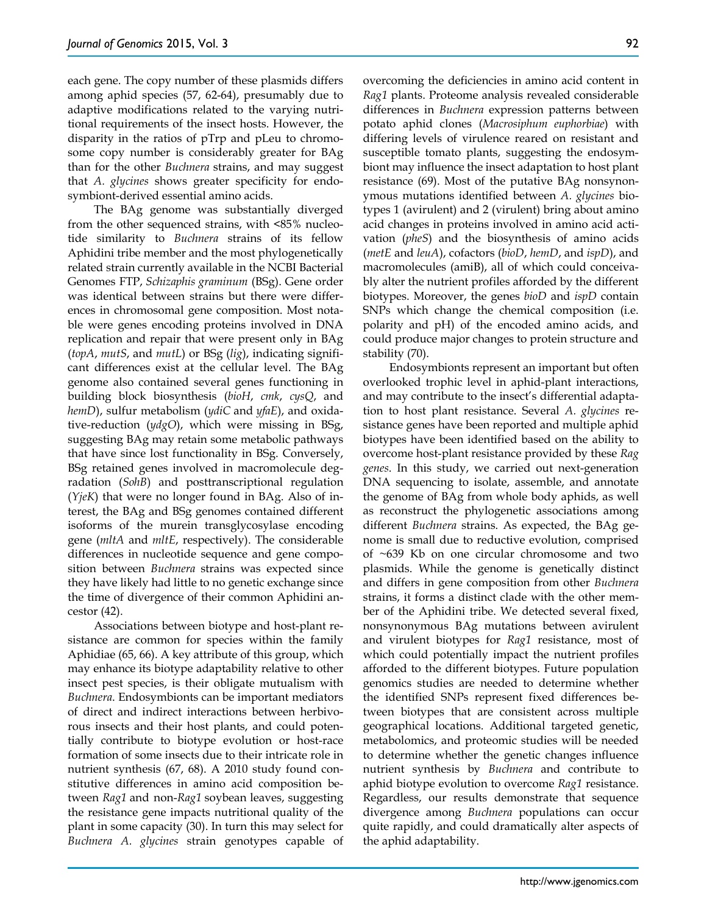each gene. The copy number of these plasmids differs among aphid species (57, 62-64), presumably due to adaptive modifications related to the varying nutritional requirements of the insect hosts. However, the disparity in the ratios of pTrp and pLeu to chromosome copy number is considerably greater for BAg than for the other *Buchnera* strains, and may suggest that *A. glycines* shows greater specificity for endosymbiont-derived essential amino acids.

The BAg genome was substantially diverged from the other sequenced strains, with <85% nucleotide similarity to *Buchnera* strains of its fellow Aphidini tribe member and the most phylogenetically related strain currently available in the NCBI Bacterial Genomes FTP, *Schizaphis graminum* (BSg). Gene order was identical between strains but there were differences in chromosomal gene composition. Most notable were genes encoding proteins involved in DNA replication and repair that were present only in BAg (*topA*, *mutS*, and *mutL*) or BSg (*lig*), indicating significant differences exist at the cellular level. The BAg genome also contained several genes functioning in building block biosynthesis (*bioH*, *cmk*, *cysQ*, and *hemD*), sulfur metabolism (*ydiC* and *yfaE*), and oxidative-reduction (*ydgO*), which were missing in BSg, suggesting BAg may retain some metabolic pathways that have since lost functionality in BSg. Conversely, BSg retained genes involved in macromolecule degradation (*SohB*) and posttranscriptional regulation (*YjeK*) that were no longer found in BAg. Also of interest, the BAg and BSg genomes contained different isoforms of the murein transglycosylase encoding gene (*mltA* and *mltE*, respectively). The considerable differences in nucleotide sequence and gene composition between *Buchnera* strains was expected since they have likely had little to no genetic exchange since the time of divergence of their common Aphidini ancestor (42).

Associations between biotype and host-plant resistance are common for species within the family Aphidiae (65, 66). A key attribute of this group, which may enhance its biotype adaptability relative to other insect pest species, is their obligate mutualism with *Buchnera*. Endosymbionts can be important mediators of direct and indirect interactions between herbivorous insects and their host plants, and could potentially contribute to biotype evolution or host-race formation of some insects due to their intricate role in nutrient synthesis (67, 68). A 2010 study found constitutive differences in amino acid composition between *Rag1* and non-*Rag1* soybean leaves, suggesting the resistance gene impacts nutritional quality of the plant in some capacity (30). In turn this may select for *Buchnera A. glycines* strain genotypes capable of overcoming the deficiencies in amino acid content in *Rag1* plants. Proteome analysis revealed considerable differences in *Buchnera* expression patterns between potato aphid clones (*Macrosiphum euphorbiae*) with differing levels of virulence reared on resistant and susceptible tomato plants, suggesting the endosymbiont may influence the insect adaptation to host plant resistance (69). Most of the putative BAg nonsynonymous mutations identified between *A. glycines* biotypes 1 (avirulent) and 2 (virulent) bring about amino acid changes in proteins involved in amino acid activation (*pheS*) and the biosynthesis of amino acids (*metE* and *leuA*), cofactors (*bioD*, *hemD*, and *ispD*), and macromolecules (amiB), all of which could conceivably alter the nutrient profiles afforded by the different biotypes. Moreover, the genes *bioD* and *ispD* contain SNPs which change the chemical composition (i.e. polarity and pH) of the encoded amino acids, and could produce major changes to protein structure and stability (70).

Endosymbionts represent an important but often overlooked trophic level in aphid-plant interactions, and may contribute to the insect's differential adaptation to host plant resistance. Several *A. glycines* resistance genes have been reported and multiple aphid biotypes have been identified based on the ability to overcome host-plant resistance provided by these *Rag genes*. In this study, we carried out next-generation DNA sequencing to isolate, assemble, and annotate the genome of BAg from whole body aphids, as well as reconstruct the phylogenetic associations among different *Buchnera* strains. As expected, the BAg genome is small due to reductive evolution, comprised of ~639 Kb on one circular chromosome and two plasmids. While the genome is genetically distinct and differs in gene composition from other *Buchnera* strains, it forms a distinct clade with the other member of the Aphidini tribe. We detected several fixed, nonsynonymous BAg mutations between avirulent and virulent biotypes for *Rag1* resistance, most of which could potentially impact the nutrient profiles afforded to the different biotypes. Future population genomics studies are needed to determine whether the identified SNPs represent fixed differences between biotypes that are consistent across multiple geographical locations. Additional targeted genetic, metabolomics, and proteomic studies will be needed to determine whether the genetic changes influence nutrient synthesis by *Buchnera* and contribute to aphid biotype evolution to overcome *Rag1* resistance. Regardless, our results demonstrate that sequence divergence among *Buchnera* populations can occur quite rapidly, and could dramatically alter aspects of the aphid adaptability.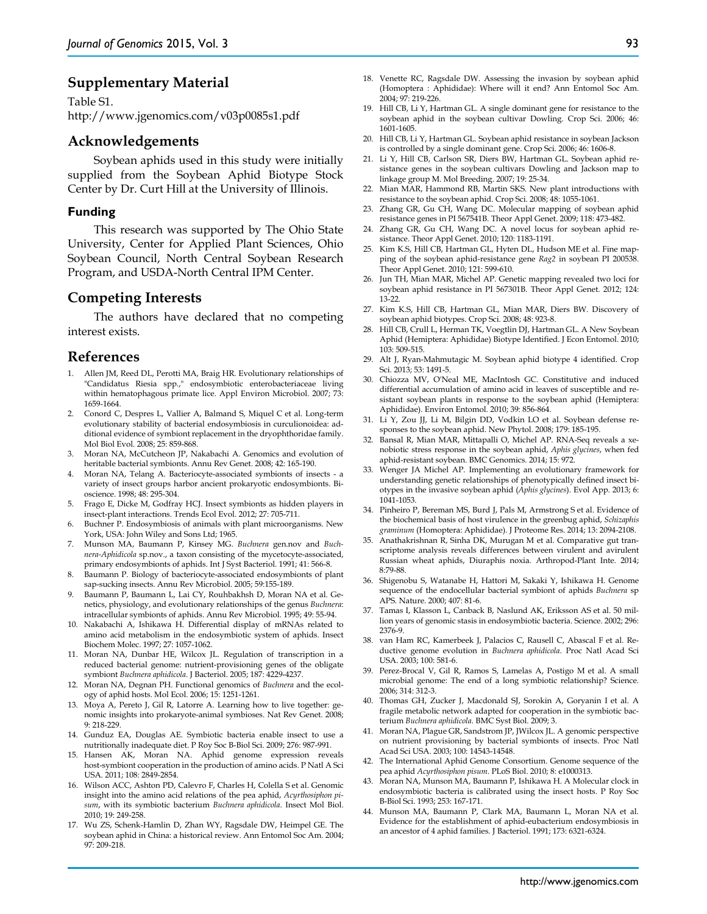# **Supplementary Material**

Table S1. http://www.jgenomics.com/v03p0085s1.pdf

## **Acknowledgements**

Soybean aphids used in this study were initially supplied from the Soybean Aphid Biotype Stock Center by Dr. Curt Hill at the University of Illinois.

### **Funding**

This research was supported by The Ohio State University, Center for Applied Plant Sciences, Ohio Soybean Council, North Central Soybean Research Program, and USDA-North Central IPM Center.

# **Competing Interests**

The authors have declared that no competing interest exists.

## **References**

- 1. Allen JM, Reed DL, Perotti MA, Braig HR. Evolutionary relationships of "Candidatus Riesia spp.," endosymbiotic enterobacteriaceae living within hematophagous primate lice. Appl Environ Microbiol. 2007; 73: 1659-1664.
- 2. Conord C, Despres L, Vallier A, Balmand S, Miquel C et al. Long-term evolutionary stability of bacterial endosymbiosis in curculionoidea: additional evidence of symbiont replacement in the dryophthoridae family. Mol Biol Evol. 2008; 25: 859-868.
- 3. Moran NA, McCutcheon JP, Nakabachi A. Genomics and evolution of heritable bacterial symbionts. Annu Rev Genet. 2008; 42: 165-190.
- 4. Moran NA, Telang A. Bacteriocyte-associated symbionts of insects a variety of insect groups harbor ancient prokaryotic endosymbionts. Bioscience. 1998; 48: 295-304.
- 5. Frago E, Dicke M, Godfray HCJ. Insect symbionts as hidden players in insect-plant interactions. Trends Ecol Evol. 2012; 27: 705-711.
- 6. Buchner P. Endosymbiosis of animals with plant microorganisms. New York, USA: John Wiley and Sons Ltd; 1965.
- 7. Munson MA, Baumann P, Kinsey MG. *Buchnera* gen.nov and *Buchnera-Aphidicola* sp.nov., a taxon consisting of the mycetocyte-associated, primary endosymbionts of aphids. Int J Syst Bacteriol. 1991; 41: 566-8.
- 8. Baumann P. Biology of bacteriocyte-associated endosymbionts of plant sap-sucking insects. Annu Rev Microbiol. 2005; 59:155-189.
- 9. Baumann P, Baumann L, Lai CY, Rouhbakhsh D, Moran NA et al. Genetics, physiology, and evolutionary relationships of the genus *Buchnera*: intracellular symbionts of aphids. Annu Rev Microbiol. 1995; 49: 55-94.
- 10. Nakabachi A, Ishikawa H. Differential display of mRNAs related to amino acid metabolism in the endosymbiotic system of aphids. Insect Biochem Molec. 1997; 27: 1057-1062.
- 11. Moran NA, Dunbar HE, Wilcox JL. Regulation of transcription in a reduced bacterial genome: nutrient-provisioning genes of the obligate symbiont *Buchnera aphidicola*. J Bacteriol. 2005; 187: 4229-4237.
- 12. Moran NA, Degnan PH. Functional genomics of *Buchnera* and the ecology of aphid hosts. Mol Ecol. 2006; 15: 1251-1261.
- 13. Moya A, Pereto J, Gil R, Latorre A. Learning how to live together: genomic insights into prokaryote-animal symbioses. Nat Rev Genet. 2008; 9: 218-229.
- 14. Gunduz EA, Douglas AE. Symbiotic bacteria enable insect to use a nutritionally inadequate diet. P Roy Soc B-Biol Sci. 2009; 276: 987-991.
- 15. Hansen AK, Moran NA. Aphid genome expression reveals host-symbiont cooperation in the production of amino acids. P Natl A Sci USA. 2011; 108: 2849-2854.
- 16. Wilson ACC, Ashton PD, Calevro F, Charles H, Colella S et al. Genomic insight into the amino acid relations of the pea aphid, *Acyrthosiphon pisum*, with its symbiotic bacterium *Buchnera aphidicola*. Insect Mol Biol. 2010; 19: 249-258.
- 17. Wu ZS, Schenk-Hamlin D, Zhan WY, Ragsdale DW, Heimpel GE. The soybean aphid in China: a historical review. Ann Entomol Soc Am. 2004; 97: 209-218.
- 18. Venette RC, Ragsdale DW. Assessing the invasion by soybean aphid (Homoptera : Aphididae): Where will it end? Ann Entomol Soc Am. 2004; 97: 219-226.
- 19. Hill CB, Li Y, Hartman GL. A single dominant gene for resistance to the soybean aphid in the soybean cultivar Dowling. Crop Sci. 2006; 46: 1601-1605.
- 20. Hill CB, Li Y, Hartman GL. Soybean aphid resistance in soybean Jackson is controlled by a single dominant gene. Crop Sci. 2006; 46: 1606-8.
- 21. Li Y, Hill CB, Carlson SR, Diers BW, Hartman GL. Soybean aphid resistance genes in the soybean cultivars Dowling and Jackson map to linkage group M. Mol Breeding. 2007; 19: 25-34.
- 22. Mian MAR, Hammond RB, Martin SKS. New plant introductions with resistance to the soybean aphid. Crop Sci. 2008; 48: 1055-1061.
- 23. Zhang GR, Gu CH, Wang DC. Molecular mapping of soybean aphid resistance genes in PI 567541B. Theor Appl Genet. 2009; 118: 473-482.
- 24. Zhang GR, Gu CH, Wang DC. A novel locus for soybean aphid resistance. Theor Appl Genet. 2010; 120: 1183-1191.
- 25. Kim K.S, Hill CB, Hartman GL, Hyten DL, Hudson ME et al. Fine mapping of the soybean aphid-resistance gene *Rag2* in soybean PI 200538. Theor Appl Genet. 2010; 121: 599-610.
- 26. Jun TH, Mian MAR, Michel AP. Genetic mapping revealed two loci for soybean aphid resistance in PI 567301B. Theor Appl Genet. 2012; 124: 13-22.
- 27. Kim K.S, Hill CB, Hartman GL, Mian MAR, Diers BW. Discovery of soybean aphid biotypes. Crop Sci. 2008; 48: 923-8.
- 28. Hill CB, Crull L, Herman TK, Voegtlin DJ, Hartman GL. A New Soybean Aphid (Hemiptera: Aphididae) Biotype Identified. J Econ Entomol. 2010; 103: 509-515.
- 29. Alt J, Ryan-Mahmutagic M. Soybean aphid biotype 4 identified. Crop Sci. 2013; 53: 1491-5.
- 30. Chiozza MV, O'Neal ME, MacIntosh GC. Constitutive and induced differential accumulation of amino acid in leaves of susceptible and resistant soybean plants in response to the soybean aphid (Hemiptera: Aphididae). Environ Entomol. 2010; 39: 856-864.
- 31. Li Y, Zou JJ, Li M, Bilgin DD, Vodkin LO et al. Soybean defense responses to the soybean aphid. New Phytol. 2008; 179: 185-195.
- 32. Bansal R, Mian MAR, Mittapalli O, Michel AP. RNA-Seq reveals a xenobiotic stress response in the soybean aphid, *Aphis glycines*, when fed aphid-resistant soybean. BMC Genomics. 2014; 15: 972.
- 33. Wenger JA Michel AP. Implementing an evolutionary framework for understanding genetic relationships of phenotypically defined insect biotypes in the invasive soybean aphid (*Aphis glycines*). Evol App. 2013; 6: 1041-1053.
- 34. Pinheiro P, Bereman MS, Burd J, Pals M, Armstrong S et al. Evidence of the biochemical basis of host virulence in the greenbug aphid, *Schizaphis graminum* (Homoptera: Aphididae). J Proteome Res. 2014; 13: 2094-2108.
- 35. Anathakrishnan R, Sinha DK, Murugan M et al. Comparative gut transcriptome analysis reveals differences between virulent and avirulent Russian wheat aphids, Diuraphis noxia. Arthropod-Plant Inte. 2014; 8:79-88.
- 36. Shigenobu S, Watanabe H, Hattori M, Sakaki Y, Ishikawa H. Genome sequence of the endocellular bacterial symbiont of aphids *Buchnera* sp APS. Nature. 2000; 407: 81-6.
- 37. Tamas I, Klasson L, Canback B, Naslund AK, Eriksson AS et al. 50 million years of genomic stasis in endosymbiotic bacteria. Science. 2002; 296: 2376-9.
- 38. van Ham RC, Kamerbeek J, Palacios C, Rausell C, Abascal F et al. Reductive genome evolution in *Buchnera aphidicola*. Proc Natl Acad Sci USA. 2003; 100: 581-6.
- 39. Perez-Brocal V, Gil R, Ramos S, Lamelas A, Postigo M et al. A small microbial genome: The end of a long symbiotic relationship? Science. 2006; 314: 312-3.
- 40. Thomas GH, Zucker J, Macdonald SJ, Sorokin A, Goryanin I et al. A fragile metabolic network adapted for cooperation in the symbiotic bacterium *Buchnera aphidicola*. BMC Syst Biol. 2009; 3.
- 41. Moran NA, Plague GR, Sandstrom JP, JWilcox JL. A genomic perspective on nutrient provisioning by bacterial symbionts of insects. Proc Natl Acad Sci USA. 2003; 100: 14543-14548.
- 42. The International Aphid Genome Consortium. Genome sequence of the pea aphid *Acyrthosiphon pisum*. PLoS Biol. 2010; 8: e1000313.
- 43. Moran NA, Munson MA, Baumann P, Ishikawa H. A Molecular clock in endosymbiotic bacteria is calibrated using the insect hosts. P Roy Soc B-Biol Sci. 1993; 253: 167-171.
- 44. Munson MA, Baumann P, Clark MA, Baumann L, Moran NA et al. Evidence for the establishment of aphid-eubacterium endosymbiosis in an ancestor of 4 aphid families. J Bacteriol. 1991; 173: 6321-6324.